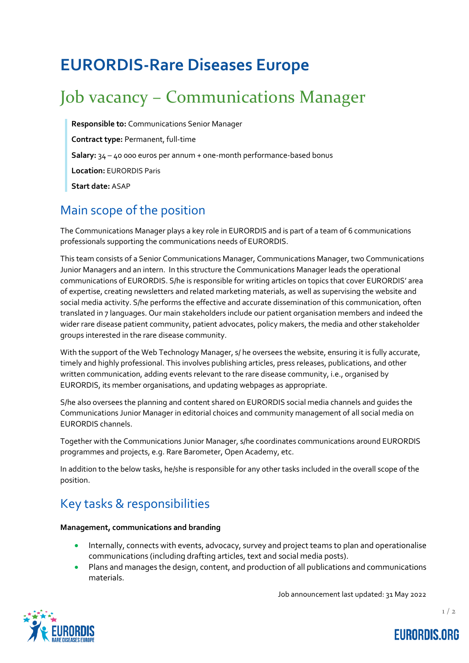# **EURORDIS-Rare Diseases Europe**

# Job vacancy – Communications Manager

**Responsible to:** Communications Senior Manager **Contract type:** Permanent, full-time **Salary:** 34 – 40 000 euros per annum + one-month performance-based bonus **Location:** EURORDIS Paris **Start date:** ASAP

### Main scope of the position

The Communications Manager plays a key role in EURORDIS and is part of a team of 6 communications professionals supporting the communications needs of EURORDIS.

This team consists of a Senior Communications Manager, Communications Manager, two Communications Junior Managers and an intern. In this structure the Communications Manager leads the operational communications of EURORDIS. S/he is responsible for writing articles on topics that cover EURORDIS' area of expertise, creating newsletters and related marketing materials, as well as supervising the website and social media activity. S/he performs the effective and accurate dissemination of this communication, often translated in 7 languages. Our main stakeholders include our patient organisation members and indeed the wider rare disease patient community, patient advocates, policy makers, the media and other stakeholder groups interested in the rare disease community.

With the support of the Web Technology Manager, s/ he oversees the website, ensuring it is fully accurate, timely and highly professional. This involves publishing articles, press releases, publications, and other written communication, adding events relevant to the rare disease community, i.e., organised by EURORDIS, its member organisations, and updating webpages as appropriate.

S/he also oversees the planning and content shared on EURORDIS social media channels and guides the Communications Junior Manager in editorial choices and community management of all social media on EURORDIS channels.

Together with the Communications Junior Manager, s/he coordinates communications around EURORDIS programmes and projects, e.g. Rare Barometer, Open Academy, etc.

In addition to the below tasks, he/she is responsible for any other tasks included in the overall scope of the position.

## Key tasks & responsibilities

#### **Management, communications and branding**

- Internally, connects with events, advocacy, survey and project teams to plan and operationalise communications (including drafting articles, text and social media posts).
- Plans and manages the design, content, and production of all publications and communications materials.

Job announcement last updated: 31 May 2022